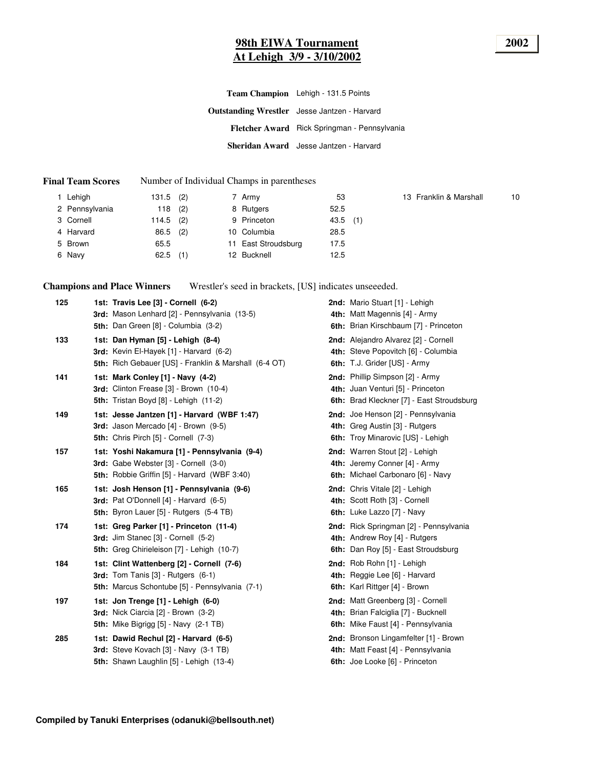#### **98th EIWA Tournament 2002 At Lehigh 3/9 - 3/10/2002**

| <b>Team Champion</b> Lehigh - 131.5 Points          |
|-----------------------------------------------------|
| <b>Outstanding Wrestler</b> Jesse Jantzen - Harvard |
| Fletcher Award Rick Springman - Pennsylvania        |
| Sheridan Award Jesse Jantzen - Harvard              |

#### **Final Team Scores** Number of Individual Champs in parentheses

| 1 Lehigh       | 131.5 | (2) | 7 Army              | 53         | 13 Franklin & Marshall | 10 |
|----------------|-------|-----|---------------------|------------|------------------------|----|
| 2 Pennsylvania | 118   | (2) | 8 Rutgers           | 52.5       |                        |    |
| 3 Cornell      | 114.5 | (2) | 9 Princeton         | $43.5$ (1) |                        |    |
| 4 Harvard      | 86.5  | (2) | 10 Columbia         | 28.5       |                        |    |
| 5 Brown        | 65.5  |     | 11 East Stroudsburg | 17.5       |                        |    |
| 6 Navy         | 62.5  | (1) | 12 Bucknell         | 12.5       |                        |    |

**Champions and Place Winners** Wrestler's seed in brackets, [US] indicates unseeeded.

| 125 | 1st: Travis Lee [3] - Cornell (6-2)<br>3rd: Mason Lenhard [2] - Pennsylvania (13-5)                                                          | 2nd: Mario Stuart [1] - Lehigh<br>4th: Matt Magennis [4] - Army                                                   |
|-----|----------------------------------------------------------------------------------------------------------------------------------------------|-------------------------------------------------------------------------------------------------------------------|
|     | 5th: Dan Green [8] - Columbia (3-2)                                                                                                          | 6th: Brian Kirschbaum [7] - Princeton                                                                             |
| 133 | 1st: Dan Hyman [5] - Lehigh (8-4)<br>3rd: Kevin El-Hayek [1] - Harvard (6-2)<br>5th: Rich Gebauer [US] - Franklin & Marshall (6-4 OT)        | 2nd: Alejandro Alvarez [2] - Cornell<br>4th: Steve Popovitch [6] - Columbia<br>6th: T.J. Grider [US] - Army       |
| 141 | 1st: Mark Conley [1] - Navy (4-2)<br>3rd: Clinton Frease [3] - Brown (10-4)<br>5th: Tristan Boyd [8] - Lehigh (11-2)                         | 2nd: Phillip Simpson [2] - Army<br>4th: Juan Venturi [5] - Princeton<br>6th: Brad Kleckner [7] - East Stroudsburg |
| 149 | 1st: Jesse Jantzen [1] - Harvard (WBF 1:47)<br>3rd: Jason Mercado [4] - Brown (9-5)<br>5th: Chris Pirch [5] - Cornell (7-3)                  | 2nd: Joe Henson [2] - Pennsylvania<br>4th: Greg Austin [3] - Rutgers<br>6th: Troy Minarovic [US] - Lehigh         |
| 157 | 1st: Yoshi Nakamura [1] - Pennsylvania (9-4)<br>3rd: Gabe Webster [3] - Cornell (3-0)<br><b>5th:</b> Robbie Griffin [5] - Harvard (WBF 3:40) | 2nd: Warren Stout [2] - Lehigh<br>4th: Jeremy Conner [4] - Army<br>6th: Michael Carbonaro [6] - Navy              |
| 165 | 1st: Josh Henson [1] - Pennsylvania (9-6)<br>3rd: Pat O'Donnell [4] - Harvard (6-5)<br>5th: Byron Lauer [5] - Rutgers (5-4 TB)               | 2nd: Chris Vitale [2] - Lehigh<br>4th: Scott Roth [3] - Cornell<br>6th: Luke Lazzo [7] - Navy                     |
| 174 | 1st: Greg Parker [1] - Princeton (11-4)<br>3rd: Jim Stanec [3] - Cornell (5-2)<br>5th: Greg Chirieleison [7] - Lehigh (10-7)                 | 2nd: Rick Springman [2] - Pennsylvania<br>4th: Andrew Roy [4] - Rutgers<br>6th: Dan Roy [5] - East Stroudsburg    |
| 184 | 1st: Clint Wattenberg [2] - Cornell (7-6)<br><b>3rd:</b> Tom Tanis $[3]$ - Rutgers $(6-1)$<br>5th: Marcus Schontube [5] - Pennsylvania (7-1) | 2nd: Rob Rohn [1] - Lehigh<br>4th: Reggie Lee [6] - Harvard<br>6th: Karl Rittger [4] - Brown                      |
| 197 | 1st: Jon Trenge [1] - Lehigh (6-0)<br>3rd: Nick Ciarcia [2] - Brown (3-2)<br><b>5th:</b> Mike Bigrigg [5] - Navy (2-1 TB)                    | 2nd: Matt Greenberg [3] - Cornell<br>4th: Brian Falciglia [7] - Bucknell<br>6th: Mike Faust [4] - Pennsylvania    |
| 285 | 1st: Dawid Rechul [2] - Harvard (6-5)<br>3rd: Steve Kovach [3] - Navy (3-1 TB)<br>5th: Shawn Laughlin [5] - Lehigh (13-4)                    | 2nd: Bronson Lingamfelter [1] - Brown<br>4th: Matt Feast [4] - Pennsylvania<br>6th: Joe Looke [6] - Princeton     |
|     |                                                                                                                                              |                                                                                                                   |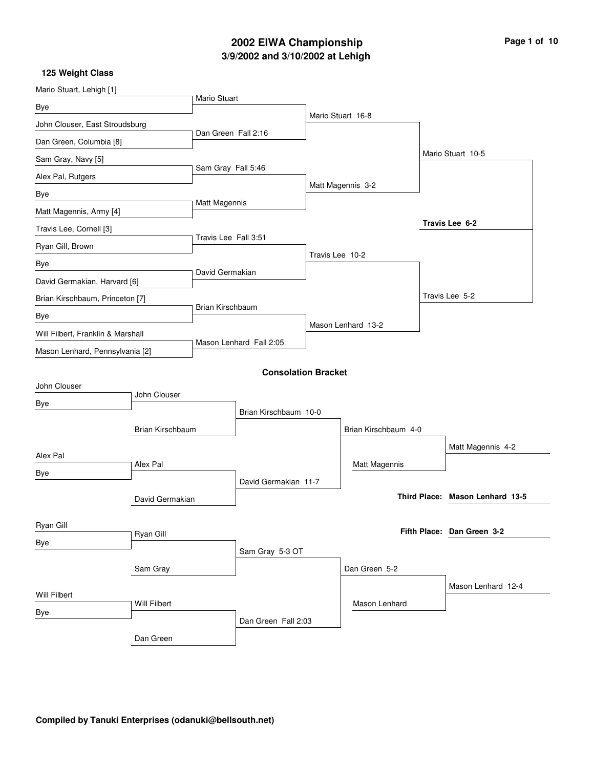## **3/9/2002 and 3/10/2002 at Lehigh 2002 EIWA Championship Page 1 of 10**

| Mario Stuart, Lehigh [1]          |                  |                         |                            |                 |                      |                                 |
|-----------------------------------|------------------|-------------------------|----------------------------|-----------------|----------------------|---------------------------------|
| Bye                               |                  | <b>Mario Stuart</b>     |                            |                 |                      |                                 |
| John Clouser, East Stroudsburg    |                  |                         |                            |                 | Mario Stuart 16-8    |                                 |
| Dan Green, Columbia [8]           |                  | Dan Green Fall 2:16     |                            |                 |                      |                                 |
| Sam Gray, Navy [5]                |                  |                         |                            |                 |                      | Mario Stuart 10-5               |
| Alex Pal, Rutgers                 |                  | Sam Gray Fall 5:46      |                            |                 |                      |                                 |
| Bye                               |                  |                         |                            |                 | Matt Magennis 3-2    |                                 |
| Matt Magennis, Army [4]           |                  | Matt Magennis           |                            |                 |                      |                                 |
| Travis Lee, Cornell [3]           |                  |                         |                            |                 |                      | Travis Lee 6-2                  |
| Ryan Gill, Brown                  |                  | Travis Lee Fall 3:51    |                            |                 |                      |                                 |
| Bye                               |                  |                         |                            | Travis Lee 10-2 |                      |                                 |
| David Germakian, Harvard [6]      |                  | David Germakian         |                            |                 |                      |                                 |
| Brian Kirschbaum, Princeton [7]   |                  |                         |                            |                 |                      | Travis Lee 5-2                  |
| Bye                               |                  | <b>Brian Kirschbaum</b> |                            |                 |                      |                                 |
| Will Filbert, Franklin & Marshall |                  |                         |                            |                 | Mason Lenhard 13-2   |                                 |
| Mason Lenhard, Pennsylvania [2]   |                  | Mason Lenhard Fall 2:05 |                            |                 |                      |                                 |
|                                   |                  |                         | <b>Consolation Bracket</b> |                 |                      |                                 |
| John Clouser                      |                  |                         |                            |                 |                      |                                 |
| Bye                               | John Clouser     |                         |                            |                 |                      |                                 |
|                                   |                  |                         | Brian Kirschbaum 10-0      |                 |                      |                                 |
|                                   | Brian Kirschbaum |                         |                            |                 | Brian Kirschbaum 4-0 |                                 |
| Alex Pal                          |                  |                         |                            |                 |                      | Matt Magennis 4-2               |
| Bye                               | Alex Pal         |                         |                            |                 | Matt Magennis        |                                 |
|                                   |                  |                         | David Germakian 11-7       |                 |                      |                                 |
|                                   | David Germakian  |                         |                            |                 |                      | Third Place: Mason Lenhard 13-5 |
| Ryan Gill                         |                  |                         |                            |                 |                      |                                 |
| Bye                               | Ryan Gill        |                         |                            |                 |                      | Fifth Place: Dan Green 3-2      |
|                                   |                  |                         | Sam Gray 5-3 OT            |                 |                      |                                 |
|                                   | Sam Gray         |                         |                            |                 | Dan Green 5-2        |                                 |
| Will Filbert                      |                  |                         |                            |                 |                      | Mason Lenhard 12-4              |
| Bye                               | Will Filbert     |                         |                            |                 | Mason Lenhard        |                                 |
|                                   |                  |                         | Dan Green Fall 2:03        |                 |                      |                                 |
|                                   | Dan Green        |                         |                            |                 |                      |                                 |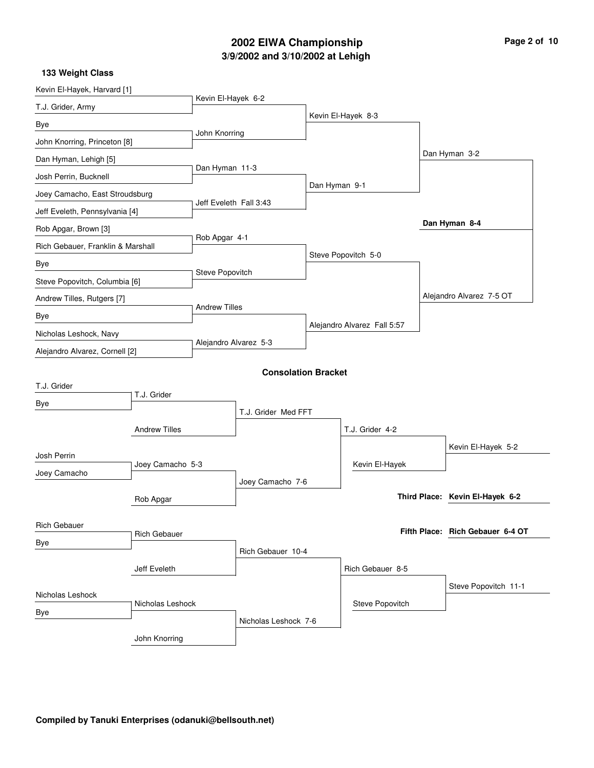## **3/9/2002 and 3/10/2002 at Lehigh 2002 EIWA Championship**

| Page 2 of 10 |  |  |
|--------------|--|--|
|--------------|--|--|

| Kevin El-Hayek, Harvard [1]       |                      |                        |                            |               |                             |                                  |
|-----------------------------------|----------------------|------------------------|----------------------------|---------------|-----------------------------|----------------------------------|
| T.J. Grider, Army                 |                      | Kevin El-Hayek 6-2     |                            |               |                             |                                  |
| Bye                               |                      |                        |                            |               | Kevin El-Hayek 8-3          |                                  |
| John Knorring, Princeton [8]      |                      | John Knorring          |                            |               |                             |                                  |
| Dan Hyman, Lehigh [5]             |                      |                        |                            |               |                             | Dan Hyman 3-2                    |
| Josh Perrin, Bucknell             |                      | Dan Hyman 11-3         |                            |               |                             |                                  |
| Joey Camacho, East Stroudsburg    |                      |                        |                            | Dan Hyman 9-1 |                             |                                  |
| Jeff Eveleth, Pennsylvania [4]    |                      | Jeff Eveleth Fall 3:43 |                            |               |                             |                                  |
| Rob Apgar, Brown [3]              |                      |                        |                            |               |                             | Dan Hyman 8-4                    |
| Rich Gebauer, Franklin & Marshall |                      | Rob Apgar 4-1          |                            |               |                             |                                  |
| Bye                               |                      |                        |                            |               | Steve Popovitch 5-0         |                                  |
| Steve Popovitch, Columbia [6]     |                      | Steve Popovitch        |                            |               |                             |                                  |
| Andrew Tilles, Rutgers [7]        |                      |                        |                            |               |                             | Alejandro Alvarez 7-5 OT         |
| Bye                               |                      | <b>Andrew Tilles</b>   |                            |               |                             |                                  |
| Nicholas Leshock, Navy            |                      |                        |                            |               | Alejandro Alvarez Fall 5:57 |                                  |
| Alejandro Alvarez, Cornell [2]    |                      | Alejandro Alvarez 5-3  |                            |               |                             |                                  |
|                                   |                      |                        | <b>Consolation Bracket</b> |               |                             |                                  |
| T.J. Grider                       |                      |                        |                            |               |                             |                                  |
| Bye                               | T.J. Grider          |                        |                            |               |                             |                                  |
|                                   |                      |                        | T.J. Grider Med FFT        |               |                             |                                  |
|                                   | <b>Andrew Tilles</b> |                        |                            |               | T.J. Grider 4-2             |                                  |
| Josh Perrin                       |                      |                        |                            |               |                             | Kevin El-Hayek 5-2               |
| Joey Camacho                      | Joey Camacho 5-3     |                        |                            |               | Kevin El-Hayek              |                                  |
|                                   |                      |                        | Joey Camacho 7-6           |               |                             | Third Place: Kevin El-Hayek 6-2  |
|                                   | Rob Apgar            |                        |                            |               |                             |                                  |
| <b>Rich Gebauer</b>               |                      |                        |                            |               |                             | Fifth Place: Rich Gebauer 6-4 OT |
| Bye                               | <b>Rich Gebauer</b>  |                        |                            |               |                             |                                  |
|                                   |                      |                        | Rich Gebauer 10-4          |               |                             |                                  |
|                                   | Jeff Eveleth         |                        |                            |               | Rich Gebauer 8-5            |                                  |
| Nicholas Leshock                  |                      |                        |                            |               |                             | Steve Popovitch 11-1             |
| Bye                               | Nicholas Leshock     |                        |                            |               | Steve Popovitch             |                                  |
|                                   |                      |                        | Nicholas Leshock 7-6       |               |                             |                                  |
|                                   | John Knorring        |                        |                            |               |                             |                                  |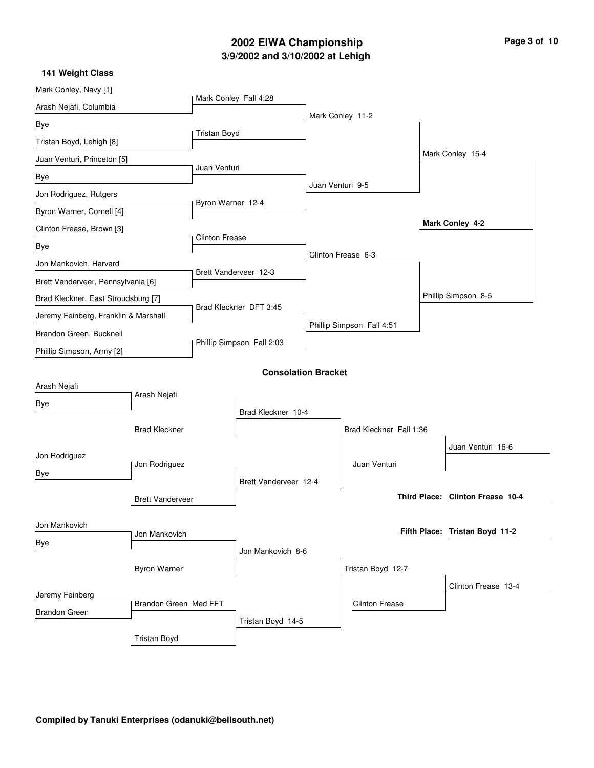## **3/9/2002 and 3/10/2002 at Lehigh 2002 EIWA Championship Page 3 of 10**

| Mark Conley, Navy [1]                |                         |                       |                            |                  |                           |                                  |
|--------------------------------------|-------------------------|-----------------------|----------------------------|------------------|---------------------------|----------------------------------|
| Arash Nejafi, Columbia               |                         | Mark Conley Fall 4:28 |                            |                  |                           |                                  |
| Bye                                  |                         |                       |                            |                  | Mark Conley 11-2          |                                  |
| Tristan Boyd, Lehigh [8]             |                         | Tristan Boyd          |                            |                  |                           |                                  |
| Juan Venturi, Princeton [5]          |                         |                       |                            |                  |                           | Mark Conley 15-4                 |
| Bye                                  |                         | Juan Venturi          |                            |                  |                           |                                  |
| Jon Rodriguez, Rutgers               |                         |                       |                            | Juan Venturi 9-5 |                           |                                  |
| Byron Warner, Cornell [4]            |                         | Byron Warner 12-4     |                            |                  |                           |                                  |
| Clinton Frease, Brown [3]            |                         |                       |                            |                  |                           | Mark Conley 4-2                  |
| Bye                                  |                         | <b>Clinton Frease</b> |                            |                  |                           |                                  |
| Jon Mankovich, Harvard               |                         |                       |                            |                  | Clinton Frease 6-3        |                                  |
| Brett Vanderveer, Pennsylvania [6]   |                         |                       | Brett Vanderveer 12-3      |                  |                           |                                  |
| Brad Kleckner, East Stroudsburg [7]  |                         |                       |                            |                  |                           | Phillip Simpson 8-5              |
| Jeremy Feinberg, Franklin & Marshall |                         |                       | Brad Kleckner DFT 3:45     |                  |                           |                                  |
| Brandon Green, Bucknell              |                         |                       |                            |                  | Phillip Simpson Fall 4:51 |                                  |
| Phillip Simpson, Army [2]            |                         |                       | Phillip Simpson Fall 2:03  |                  |                           |                                  |
|                                      |                         |                       | <b>Consolation Bracket</b> |                  |                           |                                  |
| Arash Nejafi                         |                         |                       |                            |                  |                           |                                  |
| Bye                                  | Arash Nejafi            |                       |                            |                  |                           |                                  |
|                                      |                         |                       | Brad Kleckner 10-4         |                  |                           |                                  |
|                                      | <b>Brad Kleckner</b>    |                       |                            |                  | Brad Kleckner Fall 1:36   |                                  |
| Jon Rodriguez                        |                         |                       |                            |                  |                           | Juan Venturi 16-6                |
| Bye                                  | Jon Rodriguez           |                       |                            |                  | Juan Venturi              |                                  |
|                                      |                         |                       | Brett Vanderveer 12-4      |                  |                           | Third Place: Clinton Frease 10-4 |
|                                      | <b>Brett Vanderveer</b> |                       |                            |                  |                           |                                  |
| Jon Mankovich                        | Jon Mankovich           |                       |                            |                  |                           | Fifth Place: Tristan Boyd 11-2   |
| Bye                                  |                         |                       | Jon Mankovich 8-6          |                  |                           |                                  |
|                                      | <b>Byron Warner</b>     |                       |                            |                  | Tristan Boyd 12-7         |                                  |
|                                      |                         |                       |                            |                  |                           | Clinton Frease 13-4              |
| Jeremy Feinberg                      |                         |                       |                            |                  | <b>Clinton Frease</b>     |                                  |
| Brandon Green                        | Brandon Green Med FFT   |                       | Tristan Boyd 14-5          |                  |                           |                                  |
|                                      | <b>Tristan Boyd</b>     |                       |                            |                  |                           |                                  |
|                                      |                         |                       |                            |                  |                           |                                  |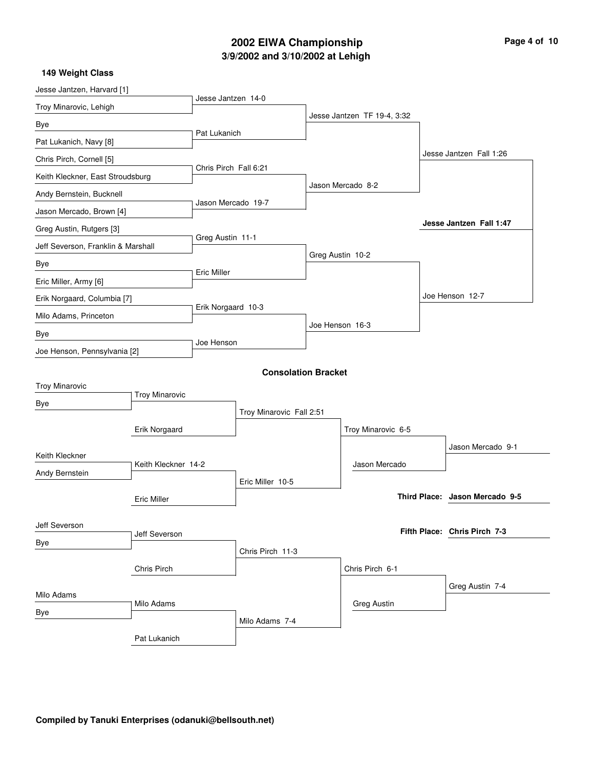# **3/9/2002 and 3/10/2002 at Lehigh 2002 EIWA Championship**

| Page 4 of 10 |  |
|--------------|--|
|--------------|--|

| 149 Weight Class |  |
|------------------|--|

| Jesse Jantzen, Harvard [1]          |                       | Jesse Jantzen 14-0    |                            |                             |                                |
|-------------------------------------|-----------------------|-----------------------|----------------------------|-----------------------------|--------------------------------|
| Troy Minarovic, Lehigh              |                       |                       |                            |                             |                                |
| Bye                                 |                       |                       |                            | Jesse Jantzen TF 19-4, 3:32 |                                |
| Pat Lukanich, Navy [8]              |                       | Pat Lukanich          |                            |                             |                                |
| Chris Pirch, Cornell [5]            |                       |                       |                            |                             | Jesse Jantzen Fall 1:26        |
| Keith Kleckner, East Stroudsburg    |                       | Chris Pirch Fall 6:21 |                            |                             |                                |
| Andy Bernstein, Bucknell            |                       |                       |                            | Jason Mercado 8-2           |                                |
| Jason Mercado, Brown [4]            |                       | Jason Mercado 19-7    |                            |                             |                                |
| Greg Austin, Rutgers [3]            |                       |                       |                            |                             | Jesse Jantzen Fall 1:47        |
| Jeff Severson, Franklin & Marshall  |                       | Greg Austin 11-1      |                            |                             |                                |
| Bye                                 |                       |                       |                            | Greg Austin 10-2            |                                |
| Eric Miller, Army [6]               |                       | Eric Miller           |                            |                             |                                |
| Erik Norgaard, Columbia [7]         |                       |                       |                            |                             | Joe Henson 12-7                |
| Milo Adams, Princeton               |                       | Erik Norgaard 10-3    |                            |                             |                                |
|                                     |                       |                       |                            | Joe Henson 16-3             |                                |
| Bye<br>Joe Henson, Pennsylvania [2] |                       | Joe Henson            |                            |                             |                                |
|                                     |                       |                       |                            |                             |                                |
|                                     |                       |                       | <b>Consolation Bracket</b> |                             |                                |
| <b>Troy Minarovic</b>               | <b>Troy Minarovic</b> |                       |                            |                             |                                |
| Bye                                 |                       |                       | Troy Minarovic Fall 2:51   |                             |                                |
|                                     | Erik Norgaard         |                       |                            | Troy Minarovic 6-5          |                                |
|                                     |                       |                       |                            |                             | Jason Mercado 9-1              |
| Keith Kleckner                      | Keith Kleckner 14-2   |                       |                            | Jason Mercado               |                                |
| Andy Bernstein                      |                       |                       | Eric Miller 10-5           |                             |                                |
|                                     | <b>Eric Miller</b>    |                       |                            |                             | Third Place: Jason Mercado 9-5 |
|                                     |                       |                       |                            |                             |                                |
| Jeff Severson                       | Jeff Severson         |                       |                            |                             | Fifth Place: Chris Pirch 7-3   |
| Bye                                 |                       |                       | Chris Pirch 11-3           |                             |                                |
|                                     | Chris Pirch           |                       |                            | Chris Pirch 6-1             |                                |
|                                     |                       |                       |                            |                             |                                |
| Milo Adams                          |                       |                       |                            |                             | Greg Austin 7-4                |
| Bye                                 | Milo Adams            |                       |                            | <b>Greg Austin</b>          |                                |
|                                     |                       |                       | Milo Adams 7-4             |                             |                                |
|                                     | Pat Lukanich          |                       |                            |                             |                                |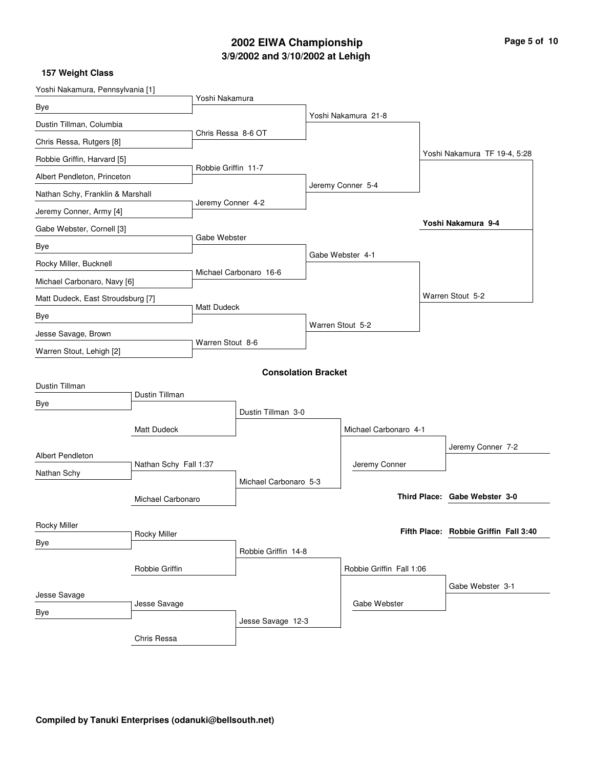## **3/9/2002 and 3/10/2002 at Lehigh 2002 EIWA Championship Page 5 of 10**

| Yoshi Nakamura, Pennsylvania [1]  |                       |                     |                            |                          |                                       |
|-----------------------------------|-----------------------|---------------------|----------------------------|--------------------------|---------------------------------------|
| Bye                               |                       | Yoshi Nakamura      |                            |                          |                                       |
| Dustin Tillman, Columbia          |                       |                     |                            | Yoshi Nakamura 21-8      |                                       |
| Chris Ressa, Rutgers [8]          |                       | Chris Ressa 8-6 OT  |                            |                          |                                       |
| Robbie Griffin, Harvard [5]       |                       |                     |                            |                          | Yoshi Nakamura TF 19-4, 5:28          |
| Albert Pendleton, Princeton       |                       | Robbie Griffin 11-7 |                            |                          |                                       |
| Nathan Schy, Franklin & Marshall  |                       |                     |                            | Jeremy Conner 5-4        |                                       |
| Jeremy Conner, Army [4]           |                       | Jeremy Conner 4-2   |                            |                          |                                       |
| Gabe Webster, Cornell [3]         |                       |                     |                            |                          | Yoshi Nakamura 9-4                    |
| Bye                               |                       | Gabe Webster        |                            |                          |                                       |
| Rocky Miller, Bucknell            |                       |                     |                            | Gabe Webster 4-1         |                                       |
| Michael Carbonaro, Navy [6]       |                       |                     | Michael Carbonaro 16-6     |                          |                                       |
| Matt Dudeck, East Stroudsburg [7] |                       |                     |                            |                          | Warren Stout 5-2                      |
| Bye                               |                       | Matt Dudeck         |                            |                          |                                       |
| Jesse Savage, Brown               |                       |                     |                            | Warren Stout 5-2         |                                       |
| Warren Stout, Lehigh [2]          |                       | Warren Stout 8-6    |                            |                          |                                       |
|                                   |                       |                     | <b>Consolation Bracket</b> |                          |                                       |
| Dustin Tillman                    |                       |                     |                            |                          |                                       |
| Bye                               | Dustin Tillman        |                     |                            |                          |                                       |
|                                   |                       |                     | Dustin Tillman 3-0         |                          |                                       |
|                                   | <b>Matt Dudeck</b>    |                     |                            | Michael Carbonaro 4-1    |                                       |
| <b>Albert Pendleton</b>           |                       |                     |                            |                          | Jeremy Conner 7-2                     |
| Nathan Schy                       | Nathan Schy Fall 1:37 |                     |                            | Jeremy Conner            |                                       |
|                                   |                       |                     | Michael Carbonaro 5-3      |                          |                                       |
|                                   | Michael Carbonaro     |                     |                            |                          | Third Place: Gabe Webster 3-0         |
| Rocky Miller                      |                       |                     |                            |                          |                                       |
| Bye                               | Rocky Miller          |                     |                            |                          | Fifth Place: Robbie Griffin Fall 3:40 |
|                                   |                       |                     | Robbie Griffin 14-8        |                          |                                       |
|                                   | Robbie Griffin        |                     |                            | Robbie Griffin Fall 1:06 |                                       |
| Jesse Savage                      |                       |                     |                            |                          | Gabe Webster 3-1                      |
| Bye                               | Jesse Savage          |                     |                            | Gabe Webster             |                                       |
|                                   |                       |                     | Jesse Savage 12-3          |                          |                                       |
|                                   | Chris Ressa           |                     |                            |                          |                                       |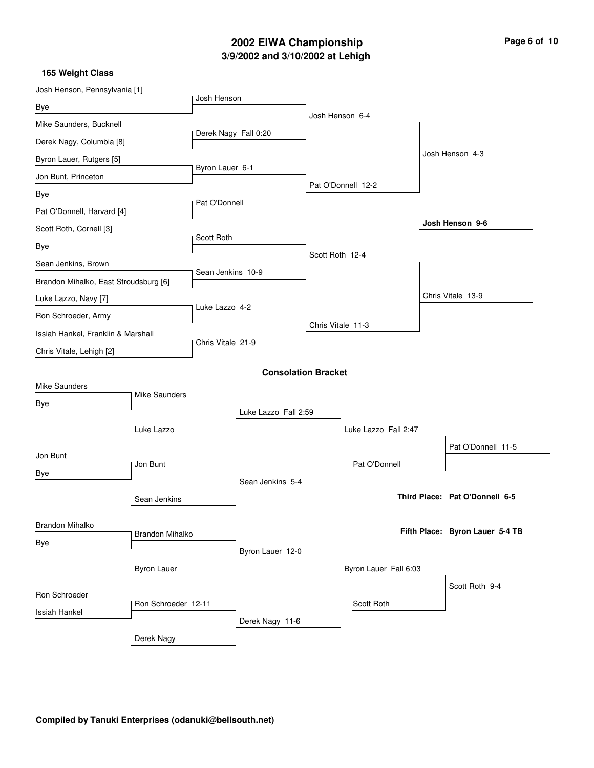## **3/9/2002 and 3/10/2002 at Lehigh 2002 EIWA Championship Page 6 of 10**

| Josh Henson, Pennsylvania [1]         |                        |                      |                            |                   |                       |                                 |
|---------------------------------------|------------------------|----------------------|----------------------------|-------------------|-----------------------|---------------------------------|
| Bye                                   |                        | Josh Henson          |                            |                   |                       |                                 |
| Mike Saunders, Bucknell               |                        |                      |                            |                   | Josh Henson 6-4       |                                 |
| Derek Nagy, Columbia [8]              |                        | Derek Nagy Fall 0:20 |                            |                   |                       |                                 |
| Byron Lauer, Rutgers [5]              |                        |                      |                            |                   |                       | Josh Henson 4-3                 |
| Jon Bunt, Princeton                   |                        | Byron Lauer 6-1      |                            |                   |                       |                                 |
| Bye                                   |                        |                      |                            |                   | Pat O'Donnell 12-2    |                                 |
| Pat O'Donnell, Harvard [4]            |                        | Pat O'Donnell        |                            |                   |                       |                                 |
| Scott Roth, Cornell [3]               |                        |                      |                            |                   |                       | Josh Henson 9-6                 |
| Bye                                   |                        | Scott Roth           |                            |                   |                       |                                 |
| Sean Jenkins, Brown                   |                        |                      |                            | Scott Roth 12-4   |                       |                                 |
| Brandon Mihalko, East Stroudsburg [6] |                        | Sean Jenkins 10-9    |                            |                   |                       |                                 |
| Luke Lazzo, Navy [7]                  |                        |                      |                            |                   |                       | Chris Vitale 13-9               |
| Ron Schroeder, Army                   |                        | Luke Lazzo 4-2       |                            |                   |                       |                                 |
| Issiah Hankel, Franklin & Marshall    |                        |                      |                            | Chris Vitale 11-3 |                       |                                 |
| Chris Vitale, Lehigh [2]              |                        | Chris Vitale 21-9    |                            |                   |                       |                                 |
|                                       |                        |                      | <b>Consolation Bracket</b> |                   |                       |                                 |
| <b>Mike Saunders</b>                  |                        |                      |                            |                   |                       |                                 |
| Bye                                   | <b>Mike Saunders</b>   |                      |                            |                   |                       |                                 |
|                                       |                        |                      | Luke Lazzo Fall 2:59       |                   |                       |                                 |
|                                       | Luke Lazzo             |                      |                            |                   | Luke Lazzo Fall 2:47  |                                 |
| Jon Bunt                              |                        |                      |                            |                   |                       | Pat O'Donnell 11-5              |
| Bye                                   | Jon Bunt               |                      |                            |                   | Pat O'Donnell         |                                 |
|                                       |                        |                      | Sean Jenkins 5-4           |                   |                       |                                 |
|                                       | Sean Jenkins           |                      |                            |                   |                       | Third Place: Pat O'Donnell 6-5  |
| Brandon Mihalko                       |                        |                      |                            |                   |                       |                                 |
| Bye                                   | <b>Brandon Mihalko</b> |                      |                            |                   |                       | Fifth Place: Byron Lauer 5-4 TB |
|                                       |                        |                      | Byron Lauer 12-0           |                   |                       |                                 |
|                                       | <b>Byron Lauer</b>     |                      |                            |                   | Byron Lauer Fall 6:03 |                                 |
| Ron Schroeder                         |                        |                      |                            |                   |                       | Scott Roth 9-4                  |
| Issiah Hankel                         | Ron Schroeder 12-11    |                      |                            |                   | Scott Roth            |                                 |
|                                       |                        |                      | Derek Nagy 11-6            |                   |                       |                                 |
|                                       | Derek Nagy             |                      |                            |                   |                       |                                 |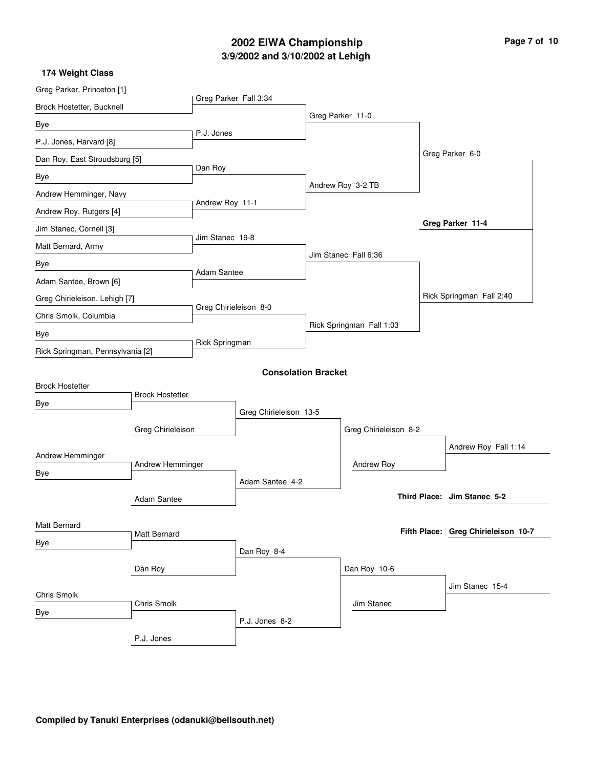## **3/9/2002 and 3/10/2002 at Lehigh 2002 EIWA Championship**

| Page 7 of 10 |  |  |  |  |  |
|--------------|--|--|--|--|--|
|--------------|--|--|--|--|--|

| Greg Parker, Princeton [1]       |                        |                        |                            |                          |                       |                             |                                     |
|----------------------------------|------------------------|------------------------|----------------------------|--------------------------|-----------------------|-----------------------------|-------------------------------------|
| Brock Hostetter, Bucknell        |                        | Greg Parker Fall 3:34  |                            |                          |                       |                             |                                     |
| Bye                              |                        |                        |                            |                          | Greg Parker 11-0      |                             |                                     |
| P.J. Jones, Harvard [8]          |                        | P.J. Jones             |                            |                          |                       |                             |                                     |
| Dan Roy, East Stroudsburg [5]    |                        |                        |                            |                          |                       |                             | Greg Parker 6-0                     |
| Bye                              |                        | Dan Roy                |                            |                          |                       |                             |                                     |
| Andrew Hemminger, Navy           |                        |                        |                            |                          | Andrew Roy 3-2 TB     |                             |                                     |
| Andrew Roy, Rutgers [4]          |                        | Andrew Roy 11-1        |                            |                          |                       |                             |                                     |
| Jim Stanec, Cornell [3]          |                        |                        |                            |                          |                       |                             | Greg Parker 11-4                    |
| Matt Bernard, Army               |                        | Jim Stanec 19-8        |                            |                          |                       |                             |                                     |
| Bye                              |                        |                        |                            |                          | Jim Stanec Fall 6:36  |                             |                                     |
| Adam Santee, Brown [6]           |                        | Adam Santee            |                            |                          |                       |                             |                                     |
| Greg Chirieleison, Lehigh [7]    |                        |                        |                            |                          |                       |                             | Rick Springman Fall 2:40            |
| Chris Smolk, Columbia            |                        | Greg Chirieleison 8-0  |                            |                          |                       |                             |                                     |
| Bye                              |                        |                        |                            | Rick Springman Fall 1:03 |                       |                             |                                     |
| Rick Springman, Pennsylvania [2] |                        | Rick Springman         |                            |                          |                       |                             |                                     |
|                                  |                        |                        | <b>Consolation Bracket</b> |                          |                       |                             |                                     |
| <b>Brock Hostetter</b>           |                        |                        |                            |                          |                       |                             |                                     |
| Bye                              | <b>Brock Hostetter</b> |                        |                            |                          |                       |                             |                                     |
|                                  |                        | Greg Chirieleison 13-5 |                            |                          |                       |                             |                                     |
|                                  | Greg Chirieleison      |                        |                            |                          | Greg Chirieleison 8-2 |                             |                                     |
| Andrew Hemminger                 |                        |                        |                            |                          |                       |                             | Andrew Roy Fall 1:14                |
| Andrew Hemminger<br>Bye          |                        |                        |                            |                          | Andrew Roy            |                             |                                     |
|                                  | Adam Santee 4-2        |                        |                            |                          |                       |                             |                                     |
|                                  | Adam Santee            |                        |                            |                          |                       | Third Place: Jim Stanec 5-2 |                                     |
| Matt Bernard                     |                        |                        |                            |                          |                       |                             |                                     |
| Bye                              | Matt Bernard           |                        |                            |                          |                       |                             | Fifth Place: Greg Chirieleison 10-7 |
|                                  |                        |                        | Dan Roy 8-4                |                          |                       |                             |                                     |
|                                  | Dan Roy                |                        |                            |                          | Dan Roy 10-6          |                             |                                     |
| Chris Smolk                      |                        |                        |                            |                          |                       |                             | Jim Stanec 15-4                     |
| Bye                              | Chris Smolk            |                        |                            |                          | Jim Stanec            |                             |                                     |
|                                  |                        |                        | P.J. Jones 8-2             |                          |                       |                             |                                     |
|                                  | P.J. Jones             |                        |                            |                          |                       |                             |                                     |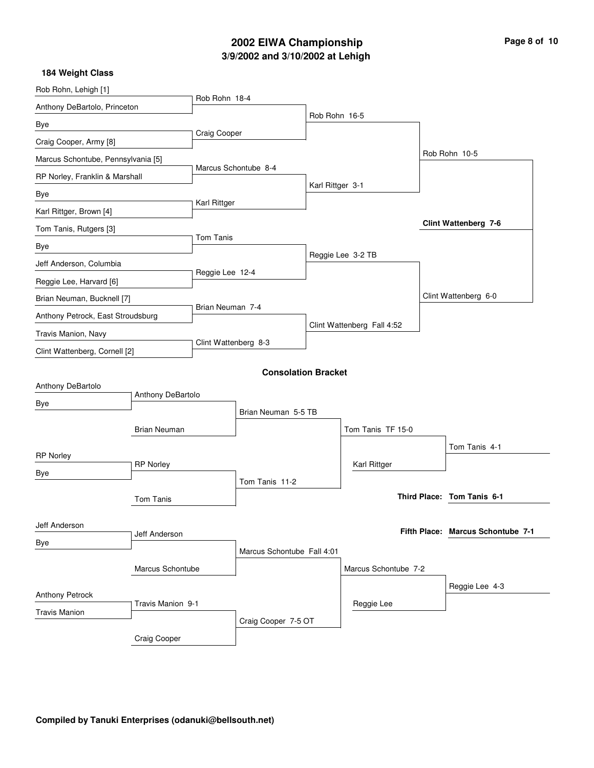## **3/9/2002 and 3/10/2002 at Lehigh 2002 EIWA Championship Page 8 of 10**

| Rob Rohn, Lehigh [1]               |                     |                      |                            |                  |                            |                                   |
|------------------------------------|---------------------|----------------------|----------------------------|------------------|----------------------------|-----------------------------------|
| Anthony DeBartolo, Princeton       |                     | Rob Rohn 18-4        |                            |                  |                            |                                   |
| Bye                                |                     |                      |                            | Rob Rohn 16-5    |                            |                                   |
| Craig Cooper, Army [8]             |                     | <b>Craig Cooper</b>  |                            |                  |                            |                                   |
| Marcus Schontube, Pennsylvania [5] |                     |                      |                            |                  |                            | Rob Rohn 10-5                     |
| RP Norley, Franklin & Marshall     |                     |                      | Marcus Schontube 8-4       |                  |                            |                                   |
| Bye                                |                     | Karl Rittger         |                            | Karl Rittger 3-1 |                            |                                   |
| Karl Rittger, Brown [4]            |                     |                      |                            |                  |                            |                                   |
| Tom Tanis, Rutgers [3]             |                     |                      |                            |                  |                            | Clint Wattenberg 7-6              |
| Bye                                |                     | Tom Tanis            |                            |                  |                            |                                   |
| Jeff Anderson, Columbia            |                     |                      |                            |                  | Reggie Lee 3-2 TB          |                                   |
| Reggie Lee, Harvard [6]            |                     | Reggie Lee 12-4      |                            |                  |                            |                                   |
| Brian Neuman, Bucknell [7]         |                     |                      |                            |                  |                            | Clint Wattenberg 6-0              |
| Anthony Petrock, East Stroudsburg  |                     | Brian Neuman 7-4     |                            |                  |                            |                                   |
| Travis Manion, Navy                |                     | Clint Wattenberg 8-3 |                            |                  | Clint Wattenberg Fall 4:52 |                                   |
| Clint Wattenberg, Cornell [2]      |                     |                      |                            |                  |                            |                                   |
|                                    |                     |                      | <b>Consolation Bracket</b> |                  |                            |                                   |
| Anthony DeBartolo                  |                     |                      |                            |                  |                            |                                   |
| Bye                                | Anthony DeBartolo   |                      |                            |                  |                            |                                   |
|                                    |                     |                      | Brian Neuman 5-5 TB        |                  |                            |                                   |
|                                    | <b>Brian Neuman</b> |                      |                            |                  | Tom Tanis TF 15-0          |                                   |
| <b>RP Norley</b>                   |                     |                      |                            |                  |                            | Tom Tanis 4-1                     |
| Bye                                | <b>RP Norley</b>    |                      |                            |                  | Karl Rittger               |                                   |
|                                    |                     |                      | Tom Tanis 11-2             |                  |                            | Third Place: Tom Tanis 6-1        |
|                                    | Tom Tanis           |                      |                            |                  |                            |                                   |
| Jeff Anderson                      |                     |                      |                            |                  |                            | Fifth Place: Marcus Schontube 7-1 |
| Bye                                | Jeff Anderson       |                      |                            |                  |                            |                                   |
|                                    |                     |                      | Marcus Schontube Fall 4:01 |                  |                            |                                   |
|                                    | Marcus Schontube    |                      |                            |                  | Marcus Schontube 7-2       |                                   |
| Anthony Petrock                    |                     |                      |                            |                  |                            | Reggie Lee 4-3                    |
| <b>Travis Manion</b>               | Travis Manion 9-1   |                      |                            |                  | Reggie Lee                 |                                   |
|                                    |                     |                      | Craig Cooper 7-5 OT        |                  |                            |                                   |
|                                    | Craig Cooper        |                      |                            |                  |                            |                                   |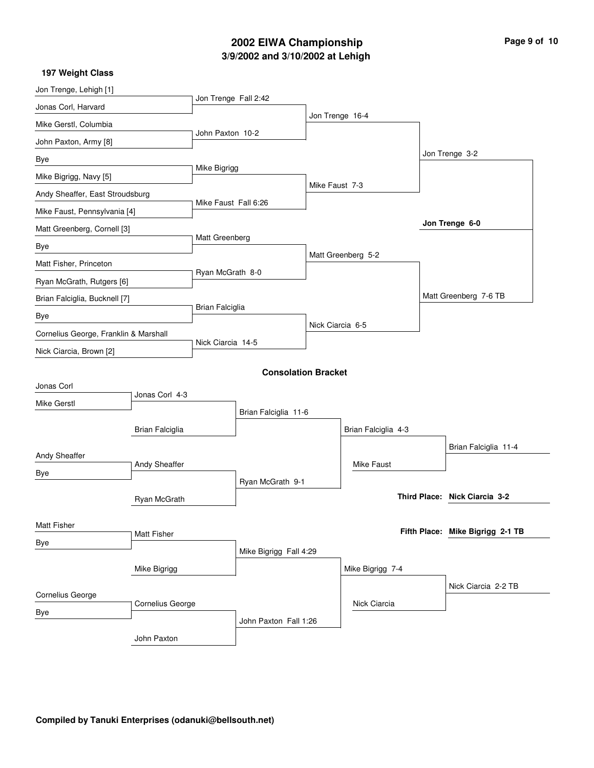## **3/9/2002 and 3/10/2002 at Lehigh 2002 EIWA Championship Page 9 of 10**

| Page 9 of 10 |  |  |
|--------------|--|--|

| 197 Weight Class                      |                    |                      |                            |                    |                     |                                  |
|---------------------------------------|--------------------|----------------------|----------------------------|--------------------|---------------------|----------------------------------|
| Jon Trenge, Lehigh [1]                |                    | Jon Trenge Fall 2:42 |                            |                    |                     |                                  |
| Jonas Corl, Harvard                   |                    |                      |                            |                    |                     |                                  |
| Mike Gerstl, Columbia                 |                    |                      |                            | Jon Trenge 16-4    |                     |                                  |
| John Paxton, Army [8]                 |                    | John Paxton 10-2     |                            |                    |                     |                                  |
| Bye                                   |                    |                      |                            |                    |                     | Jon Trenge 3-2                   |
| Mike Bigrigg, Navy [5]                |                    | Mike Bigrigg         |                            |                    |                     |                                  |
| Andy Sheaffer, East Stroudsburg       |                    |                      |                            | Mike Faust 7-3     |                     |                                  |
| Mike Faust, Pennsylvania [4]          |                    | Mike Faust Fall 6:26 |                            |                    |                     |                                  |
| Matt Greenberg, Cornell [3]           |                    |                      |                            |                    |                     | Jon Trenge 6-0                   |
| Bye                                   |                    | Matt Greenberg       |                            | Matt Greenberg 5-2 |                     |                                  |
| Matt Fisher, Princeton                |                    |                      |                            |                    |                     |                                  |
| Ryan McGrath, Rutgers [6]             |                    | Ryan McGrath 8-0     |                            |                    |                     |                                  |
| Brian Falciglia, Bucknell [7]         |                    |                      |                            |                    |                     | Matt Greenberg 7-6 TB            |
| Bye                                   |                    | Brian Falciglia      |                            |                    |                     |                                  |
| Cornelius George, Franklin & Marshall |                    |                      |                            | Nick Ciarcia 6-5   |                     |                                  |
| Nick Ciarcia, Brown [2]               |                    | Nick Ciarcia 14-5    |                            |                    |                     |                                  |
|                                       |                    |                      | <b>Consolation Bracket</b> |                    |                     |                                  |
| Jonas Corl                            |                    |                      |                            |                    |                     |                                  |
| <b>Mike Gerstl</b>                    | Jonas Corl 4-3     |                      |                            |                    |                     |                                  |
|                                       |                    |                      | Brian Falciglia 11-6       |                    |                     |                                  |
|                                       | Brian Falciglia    |                      |                            |                    | Brian Falciglia 4-3 |                                  |
| Andy Sheaffer                         |                    |                      |                            |                    |                     | Brian Falciglia 11-4             |
| Bye                                   | Andy Sheaffer      |                      |                            |                    | Mike Faust          |                                  |
|                                       |                    |                      | Ryan McGrath 9-1           |                    |                     |                                  |
|                                       | Ryan McGrath       |                      |                            |                    |                     | Third Place: Nick Ciarcia 3-2    |
| Matt Fisher                           |                    |                      |                            |                    |                     |                                  |
| Bye                                   | <b>Matt Fisher</b> |                      |                            |                    |                     | Fifth Place: Mike Bigrigg 2-1 TB |
|                                       |                    |                      | Mike Bigrigg Fall 4:29     |                    |                     |                                  |
|                                       | Mike Bigrigg       |                      |                            |                    | Mike Bigrigg 7-4    |                                  |
| Cornelius George                      |                    |                      |                            |                    |                     | Nick Ciarcia 2-2 TB              |
| Bye                                   | Cornelius George   |                      |                            |                    | Nick Ciarcia        |                                  |
|                                       |                    |                      | John Paxton Fall 1:26      |                    |                     |                                  |
|                                       | John Paxton        |                      |                            |                    |                     |                                  |